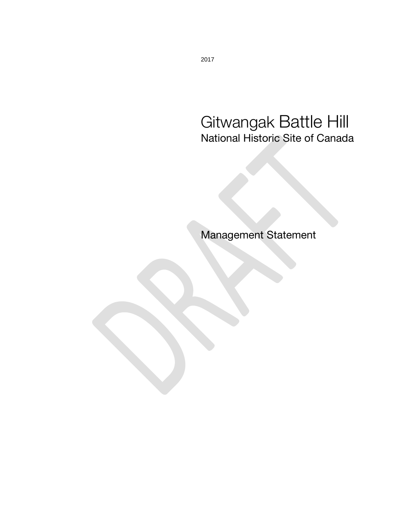## Gitwangak Battle Hill National Historic Site of Canada

Management Statement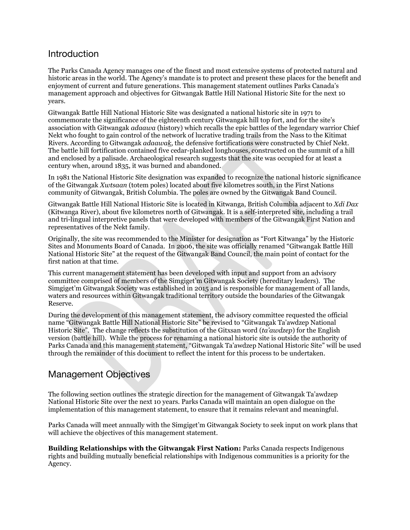## **Introduction**

The Parks Canada Agency manages one of the finest and most extensive systems of protected natural and historic areas in the world. The Agency's mandate is to protect and present these places for the benefit and enjoyment of current and future generations. This management statement outlines Parks Canada's management approach and objectives for Gitwangak Battle Hill National Historic Site for the next 10 years.

Gitwangak Battle Hill National Historic Site was designated a national historic site in 1971 to commemorate the significance of the eighteenth century Gitwangak hill top fort, and for the site's association with Gitwangak *adaawa* (history) which recalls the epic battles of the legendary warrior Chief Nekt who fought to gain control of the network of lucrative trading trails from the Nass to the Kitimat Rivers. According to Gitwangak *adaawak*, the defensive fortifications were constructed by Chief Nekt. The battle hill fortification contained five cedar-planked longhouses, constructed on the summit of a hill and enclosed by a palisade. Archaeological research suggests that the site was occupied for at least a century when, around 1835, it was burned and abandoned.

In 1981 the National Historic Site designation was expanded to recognize the national historic significance of the Gitwangak *Xwtsaan* (totem poles) located about five kilometres south, in the First Nations community of Gitwangak, British Columbia. The poles are owned by the Gitwangak Band Council.

Gitwangak Battle Hill National Historic Site is located in Kitwanga, British Columbia adjacent to *Xdi Dax* (Kitwanga River), about five kilometres north of Gitwangak. It is a self-interpreted site, including a trail and tri-lingual interpretive panels that were developed with members of the Gitwangak First Nation and representatives of the Nekt family.

Originally, the site was recommended to the Minister for designation as "Fort Kitwanga" by the Historic Sites and Monuments Board of Canada. In 2006, the site was officially renamed "Gitwangak Battle Hill National Historic Site" at the request of the Gitwangak Band Council, the main point of contact for the first nation at that time.

This current management statement has been developed with input and support from an advisory committee comprised of members of the Simgiget'm Gitwangak Society (hereditary leaders). The Simgiget'm Gitwangak Society was established in 2015 and is responsible for management of all lands, waters and resources within Gitwangak traditional territory outside the boundaries of the Gitwangak Reserve.

During the development of this management statement, the advisory committee requested the official name "Gitwangak Battle Hill National Historic Site" be revised to "Gitwangak Ta'awdzep National Historic Site". The change reflects the substitution of the Gitxsan word (*ta'awdzep*) for the English version (battle hill). While the process for renaming a national historic site is outside the authority of Parks Canada and this management statement, "Gitwangak Ta'awdzep National Historic Site" will be used through the remainder of this document to reflect the intent for this process to be undertaken.

## Management Objectives

The following section outlines the strategic direction for the management of Gitwangak Ta'awdzep National Historic Site over the next 10 years. Parks Canada will maintain an open dialogue on the implementation of this management statement, to ensure that it remains relevant and meaningful.

Parks Canada will meet annually with the Simgiget'm Gitwangak Society to seek input on work plans that will achieve the objectives of this management statement.

**Building Relationships with the Gitwangak First Nation:** Parks Canada respects Indigenous rights and building mutually beneficial relationships with Indigenous communities is a priority for the Agency.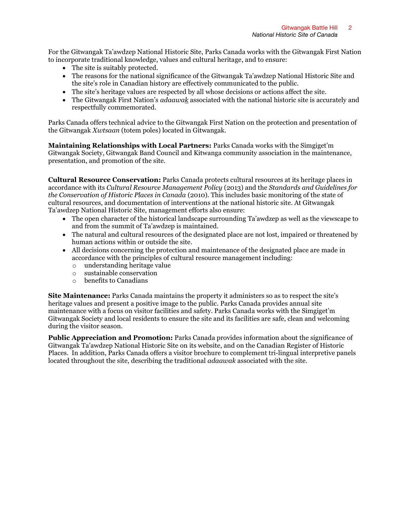For the Gitwangak Ta'awdzep National Historic Site, Parks Canada works with the Gitwangak First Nation to incorporate traditional knowledge, values and cultural heritage, and to ensure:

- The site is suitably protected.
- The reasons for the national significance of the Gitwangak Ta'awdzep National Historic Site and the site's role in Canadian history are effectively communicated to the public.
- The site's heritage values are respected by all whose decisions or actions affect the site.
- The Gitwangak First Nation's *adaawak* associated with the national historic site is accurately and respectfully commemorated.

Parks Canada offers technical advice to the Gitwangak First Nation on the protection and presentation of the Gitwangak *Xwtsaan* (totem poles) located in Gitwangak.

**Maintaining Relationships with Local Partners:** Parks Canada works with the Simgiget'm Gitwangak Society, Gitwangak Band Council and Kitwanga community association in the maintenance, presentation, and promotion of the site.

**Cultural Resource Conservation:** Parks Canada protects cultural resources at its heritage places in accordance with its *Cultural Resource Management Policy* (2013) and the *Standards and Guidelines for the Conservation of Historic Places in Canada* (2010). This includes basic monitoring of the state of cultural resources, and documentation of interventions at the national historic site. At Gitwangak Ta'awdzep National Historic Site, management efforts also ensure:

- The open character of the historical landscape surrounding Ta'awdzep as well as the viewscape to and from the summit of Ta'awdzep is maintained.
- The natural and cultural resources of the designated place are not lost, impaired or threatened by human actions within or outside the site.
- All decisions concerning the protection and maintenance of the designated place are made in accordance with the principles of cultural resource management including:
	- o understanding heritage value
	- o sustainable conservation
	- o benefits to Canadians

**Site Maintenance:** Parks Canada maintains the property it administers so as to respect the site's heritage values and present a positive image to the public. Parks Canada provides annual site maintenance with a focus on visitor facilities and safety. Parks Canada works with the Simgiget'm Gitwangak Society and local residents to ensure the site and its facilities are safe, clean and welcoming during the visitor season.

**Public Appreciation and Promotion:** Parks Canada provides information about the significance of Gitwangak Ta'awdzep National Historic Site on its website, and on the Canadian Register of Historic Places. In addition, Parks Canada offers a visitor brochure to complement tri-lingual interpretive panels located throughout the site, describing the traditional *adaawak* associated with the site.